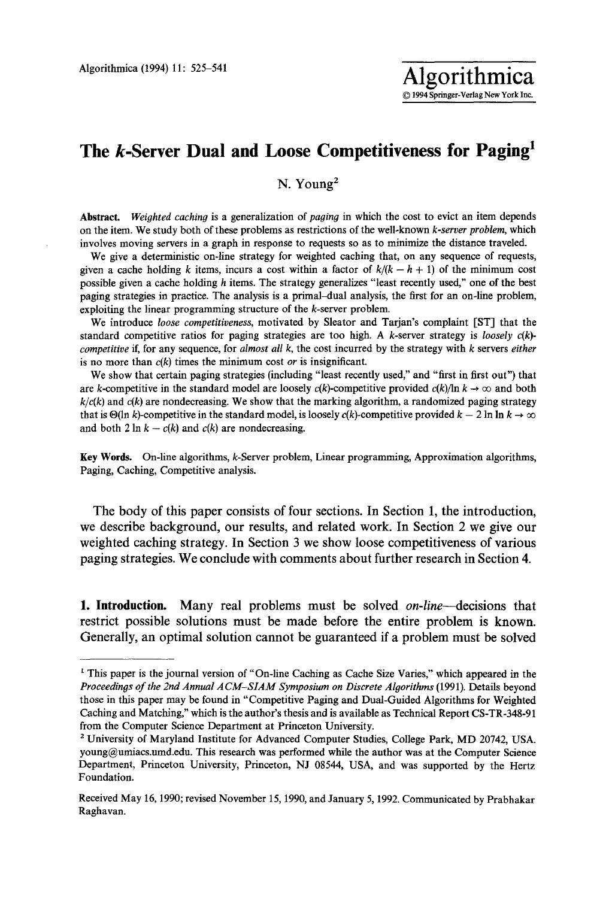## The *k*-Server Dual and Loose Competitiveness for Paging<sup>1</sup>

N. Young<sup>2</sup>

Abstract. Weighted caching is a generalization of *paging* in which the cost to evict an item depends on the item. We study both of these problems as restrictions of the well-known *k-server problem,* which involves moving servers in a graph in response to requests so as to minimize the distance traveled.

We give a deterministic on-line strategy for weighted caching that, on any sequence of requests, given a cache holding k items, incurs a cost within a factor of  $k/(k - h + 1)$  of the minimum cost possible given a cache holding h items. The strategy generalizes "least recently used," one of the best paging strategies in practice. The analysis is a primal-dual analysis, the first for an on-line problem, exploiting the linear programming structure of the k-server problem.

We introduce *loose competitiveness,* motivated by Sleator and Tarjan's complaint [ST] that the standard competitive ratios for paging strategies are too high. A k-server strategy is *loosely c(k) competitive* if, for any sequence, for *almost all k,* the cost incurred by the strategy with k servers *either*  is no more than *c(k)* times the minimum cost *or* is insignificant.

We show that certain paging strategies (including "least recently used," and "first in first out") that are k-competitive in the standard model are loosely  $c(k)$ -competitive provided  $c(k)/\ln k \rightarrow \infty$  and both  $k/c(k)$  and  $c(k)$  are nondecreasing. We show that the marking algorithm, a randomized paging strategy that is  $\Theta(\ln k)$ -competitive in the standard model, is loosely c(k)-competitive provided  $k - 2 \ln \ln k \rightarrow \infty$ and both 2 ln  $k - c(k)$  and  $c(k)$  are nondecreasing.

Key Words. On-line algorithms, k-Server problem, Linear programming, Approximation algorithms, Paging, Caching, Competitive analysis.

The body of this paper consists of four sections. In Section 1, the introduction, we describe background, our results, and related work. In Section 2 we give our weighted caching strategy. In Section 3 we show loose competitiveness of various paging strategies. We conclude with comments about further research in Section 4.

I. Introduction. Many real problems must be solved *on-line---decisions* that restrict possible solutions must be made before the entire problem is known. Generally, an optimal solution cannot be guaranteed if a problem must be solved

<sup>&</sup>lt;sup>1</sup> This paper is the journal version of "On-line Caching as Cache Size Varies," which appeared in the Proceedings of the 2nd Annual ACM-SIAM Symposium on Discrete Algorithms (1991). Details beyond those in this paper may be found in "Competitive Paging and Dual-Guided Algorithms for Weighted Caching and Matching," which is the author's thesis and is available as Technical Report CS-TR-348-91 from the Computer Science Department at Princeton University.

<sup>2</sup> University of Maryland Institute for Advanced Computer Studies, College Park, MD 20742, USA. young@umiacs.umd.edu. This research was performed while the author was at the Computer Science Department, Princeton University, Princeton, NJ 08544, USA, and was supported by the Hertz Foundation.

Received May 16, 1990; revised November 15, 1990, and January 5, 1992. Communicated by Prabhakar Raghavan.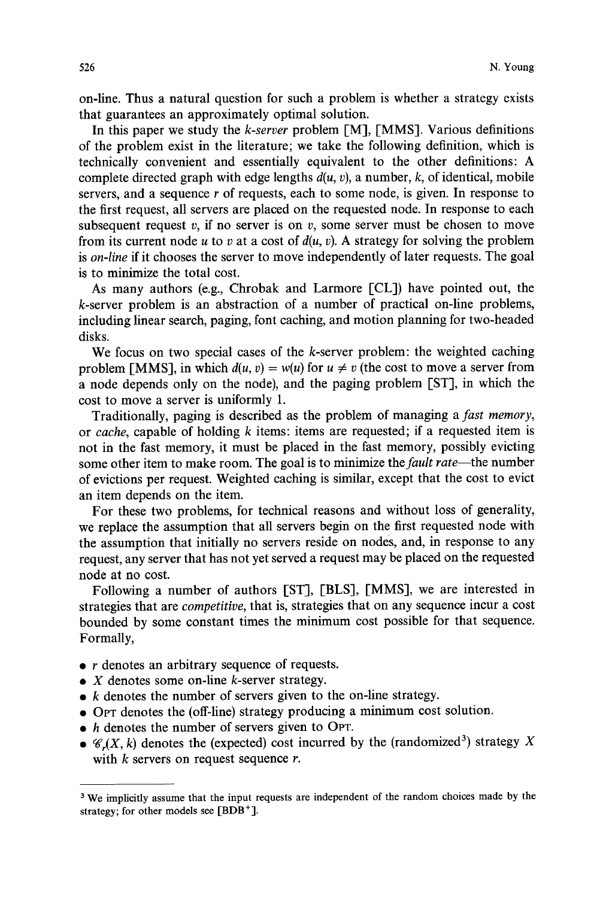on-line. Thus a natural question for such a problem is whether a strategy exists that guarantees an approximately optimal solution.

In this paper we study the *k-server* problem [M], [MMS]. Various definitions of the problem exist in the literature; we take the following definition, which is technically convenient and essentially equivalent to the other definitions: A complete directed graph with edge lengths  $d(u, v)$ , a number,  $k$ , of identical, mobile servers, and a sequence r of requests, each to some node, is given. In response to the first request, all servers are placed on the requested node. In response to each subsequent request  $v$ , if no server is on  $v$ , some server must be chosen to move from its current node u to v at a cost of  $d(u, v)$ . A strategy for solving the problem is *on-line* if it chooses the server to move independently of later requests. The goal is to minimize the total cost.

As many authors (e.g., Chrobak and Larmore [CL]) have pointed out, the k-server problem is an abstraction of a number of practical on-line problems, including linear search, paging, font caching, and motion planning for two-headed disks.

We focus on two special cases of the  $k$ -server problem: the weighted caching problem [MMS], in which  $d(u, v) = w(u)$  for  $u \neq v$  (the cost to move a server from a node depends only on the node), and the paging problem [ST], in which the cost to move a server is uniformly 1.

Traditionally, paging is described as the problem of managing a *fast memory,*  or *cache,* capable of holding k items: items are requested; if a requested item is not in the fast memory, it must be placed in the fast memory, possibly evicting some other item to make room. The goal is to minimize *the fault rate--the* number of evictions per request. Weighted caching is similar, except that the cost to evict an item depends on the item.

For these two problems, for technical reasons and without loss of generality, we replace the assumption that all servers begin on the first requested node with the assumption that initially no servers reside on nodes, and, in response to any request, any server that has not yet served a request may be placed on the requested node at no cost.

Following a number of authors [ST], [BLS], [MMS], we are interested in strategies that are *competitive,* that is, strategies that on any sequence incur a cost bounded by some constant times the minimum cost possible for that sequence. Formally,

- $\bullet$  r denotes an arbitrary sequence of requests.
- $\bullet$  X denotes some on-line k-server strategy.
- $\bullet$  k denotes the number of servers given to the on-line strategy.
- 9 OPT denotes the (off-line) strategy producing a minimum cost solution.
- h denotes the number of servers given to OPT.
- $\bullet$   $\mathcal{C}_r(X, k)$  denotes the (expected) cost incurred by the (randomized<sup>3</sup>) strategy X with  $k$  servers on request sequence  $r$ .

<sup>&</sup>lt;sup>3</sup> We implicitly assume that the input requests are independent of the random choices made by the strategy; for other models see  $[BDB^+]$ .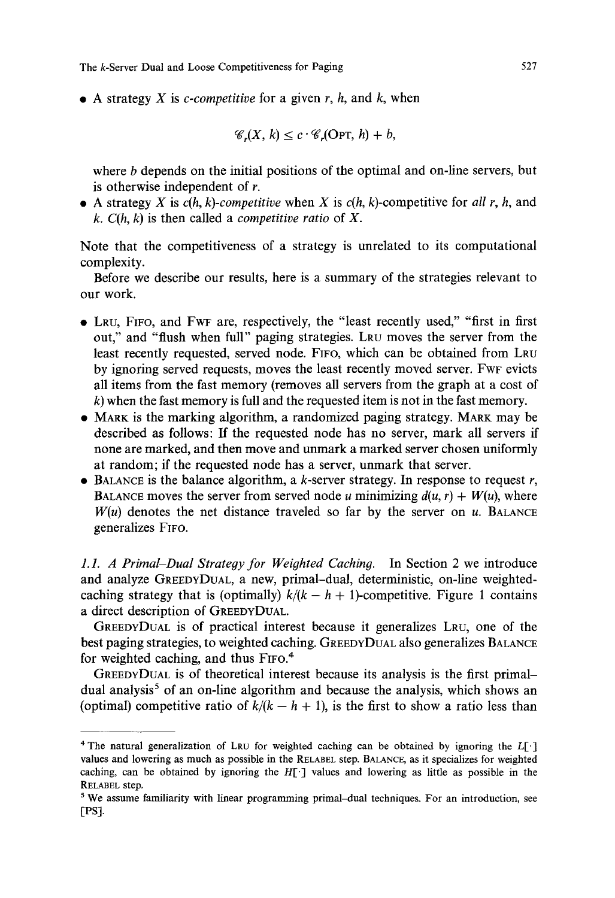$\bullet$  A strategy X is *c-competitive* for a given r, h, and k, when

$$
\mathscr{C}_r(X,k) \leq c \cdot \mathscr{C}_r(\text{OPT},h) + b,
$$

where b depends on the initial positions of the optimal and on-line servers, but is otherwise independent of r.

• A strategy X is  $c(h, k)$ -competitive when X is  $c(h, k)$ -competitive for all r, h, and *k. C(h, k)* is then called a *competitive ratio* of X.

Note that the competitiveness of a strategy is unrelated to its computational complexity.

Before we describe our results, here is a summary of the strategies relevant to our work.

- 9 LRU, FIFO, and FWF are, respectively, the "least recently used," "first in first out," and "flush when full" paging strategies. LRU moves the server from the least recently requested, served node. FIFO, which can be obtained from LRU by ignoring served requests, moves the least recently moved server. FWF evicts all items from the fast memory (removes all servers from the graph at a cost of  $k$ ) when the fast memory is full and the requested item is not in the fast memory.
- MARK is the marking algorithm, a randomized paging strategy. MARK may be described as follows: If the requested node has no server, mark all servers if none are marked, and then move and unmark a marked server chosen uniformly at random; if the requested node has a server, unmark that server.
- $\bullet$  BALANCE is the balance algorithm, a k-server strategy. In response to request r, BALANCE moves the server from served node u minimizing  $d(u, r) + W(u)$ , where  $W(u)$  denotes the net distance traveled so far by the server on  $u$ . BALANCE generalizes FIFO.

*1.1. A Primal-Dual Strategy for Weighted Caching.* In Section 2 we introduce and analyze GREEDYDUAL, a new, primal-dual, deterministic, on-line weightedcaching strategy that is (optimally)  $k/(k - h + 1)$ -competitive. Figure 1 contains a direct description of GREEDYDUAL.

GREEDYDUAL is of practical interest because it generalizes LRU, one of the best paging strategies, to weighted caching. GREEDYDUAL also generalizes BALANCE for weighted caching, and thus FIFO.<sup>4</sup>

GREEDYDUAL is of theoretical interest because its analysis is the first primaldual analysis<sup>5</sup> of an on-line algorithm and because the analysis, which shows an (optimal) competitive ratio of  $k/(k - h + 1)$ , is the first to show a ratio less than

<sup>&</sup>lt;sup>4</sup> The natural generalization of LRU for weighted caching can be obtained by ignoring the  $L[\cdot]$ values and lowering as much as possible in the RELABEL step. BALANCE, as it specializes for weighted caching, can be obtained by ignoring the  $H[\cdot]$  values and lowering as little as possible in the RELABEL step.

<sup>5</sup> We assume familiarity with linear programming primal-dual techniques. For an introduction, see [PSI.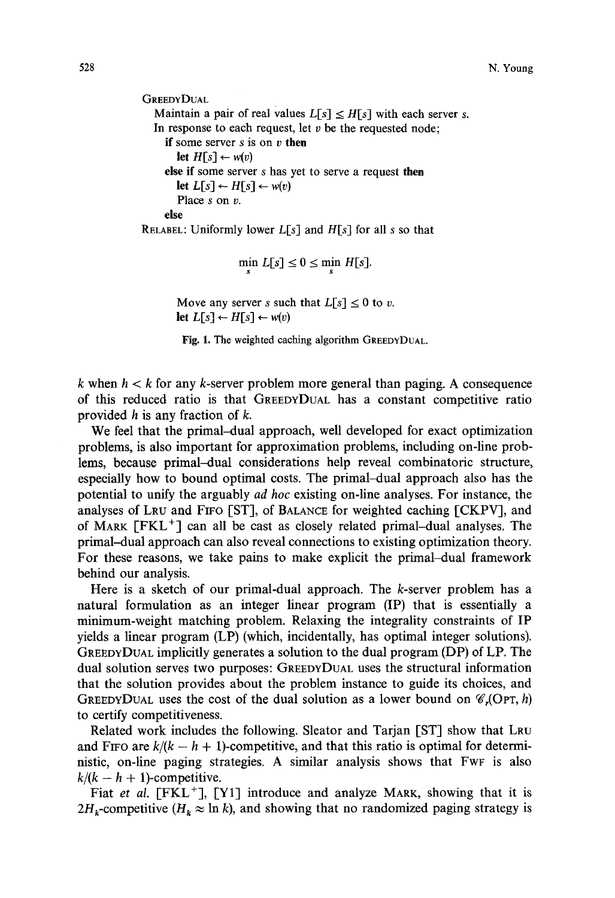```
GREEDYDUAL
  Maintain a pair of real values L[s] \leq H[s] with each server s.
  In response to each request, let v be the requested node;
    if some server s is on v then 
       let H[s] \leftarrow w(v)else if some server s has yet to serve a request then 
       let L[s] \leftarrow H[s] \leftarrow w(v)Place s on v. 
    else 
RELABEL: Uniformly lower L[s] and His] for all s so that
```

$$
\min_{s} L[s] \leq 0 \leq \min_{s} H[s].
$$

Move any server s such that  $L[s] \leq 0$  to v. let  $L[s] \leftarrow H[s] \leftarrow w(v)$ 

Fig. 1. The weighted caching algorithm GREEDYDUAL.

k when  $h < k$  for any k-server problem more general than paging. A consequence of this reduced ratio is that GREEDYDUAL has a constant competitive ratio provided h is any fraction of k.

We feel that the primal-dual approach, well developed for exact optimization problems, is also important for approximation problems, including on-line problems, because primal-dual considerations help reveal combinatoric structure, especially how to bound optimal costs. The primal-dual approach also has the potential to unify the arguably *ad hoc* existing on-line analyses. For instance, the analyses of LRU and FIFO [ST], of BALANCE for weighted caching [CKPV], and of MARK  $[FKL<sup>+</sup>]$  can all be cast as closely related primal-dual analyses. The primal-dual approach can also reveal connections to existing optimization theory. For these reasons, we take pains to make explicit the primal-dual framework behind our analysis.

Here is a sketch of our primal-dual approach. The k-server problem has a natural formulation as an integer linear program (IP) that is essentially a minimum-weight matching problem. Relaxing the integrality constraints of IP yields a linear program (LP) (which, incidentally, has optimal integer solutions). GREEDYDUAL implicitly generates a solution to the dual program (DP) of LP. The dual solution serves two purposes: GREEDYDUAL uses the structural information that the solution provides about the problem instance to guide its choices, and GREEDYDUAL uses the cost of the dual solution as a lower bound on  $\mathcal{C}_r$  (OPT, h) to certify competitiveness.

Related work includes the following. Sleator and Tarjan [ST] show that LRU and FIFO are  $k/(k - h + 1)$ -competitive, and that this ratio is optimal for deterministic, on-line paging strategies. A similar analysis shows that FWF is also  $k/(k - h + 1)$ -competitive.

Fiat et al. [FKL<sup>+</sup>], [Y1] introduce and analyze MARK, showing that it is  $2H_k$ -competitive ( $H_k \approx \ln k$ ), and showing that no randomized paging strategy is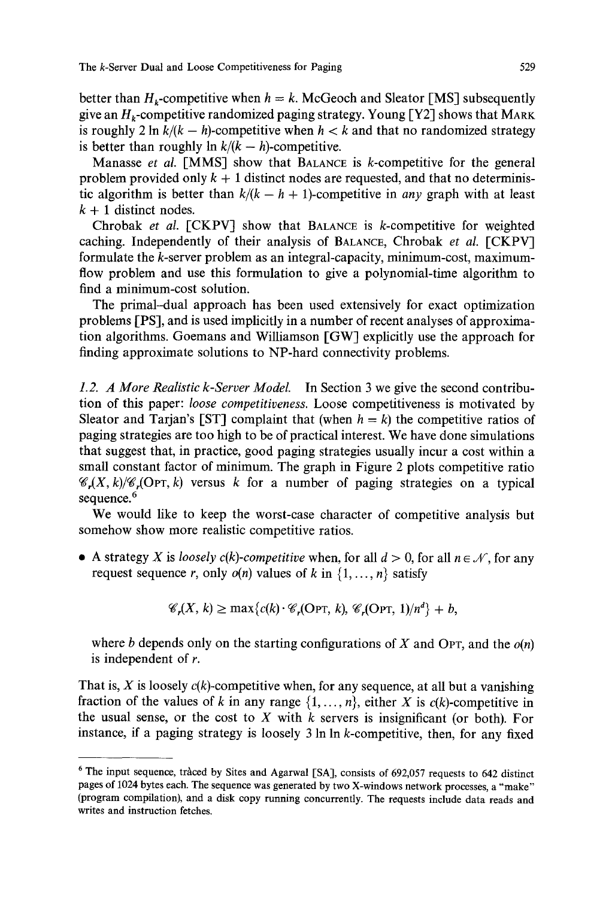better than  $H_k$ -competitive when  $h = k$ . McGeoch and Sleator [MS] subsequently give an  $H_k$ -competitive randomized paging strategy. Young [Y2] shows that MARK is roughly 2 ln  $k/(k - h)$ -competitive when  $h < k$  and that no randomized strategy is better than roughly  $\ln k/(k - h)$ -competitive.

Manasse *et al.* [MMS] show that BALANCE is k-competitive for the general problem provided only  $k + 1$  distinct nodes are requested, and that no deterministic algorithm is better than  $k/(k - h + 1)$ -competitive in *any* graph with at least  $k + 1$  distinct nodes.

Chrobak *et al.* [CKPV] show that BALANCE is k-competitive for weighted caching. Independently of their analysis of BALANCE, Chrobak *et al.* [CKPV] formulate the k-server problem as an integral-capacity, minimum-cost, maximumflow problem and use this formulation to give a polynomial-time algorithm to find a minimum-cost solution.

The primal-dual approach has been used extensively for exact optimization problems [PSI, and is used implicitly in a number of recent analyses of approximation algorithms. Goemans and Williamson [GW] explicitly use the approach for finding approximate solutions to NP-hard connectivity problems.

*1.2. A More Realistic k-Server Model.* In Section 3 we give the second contribution of this paper: *loose competitiveness.* Loose competitiveness is motivated by Sleator and Tarjan's [ST] complaint that (when  $h = k$ ) the competitive ratios of paging strategies are too high to be of practical interest. We have done simulations that suggest that, in practice, good paging strategies usually incur a cost within a small constant factor of minimum. The graph in Figure 2 plots competitive ratio  $\mathscr{C}_r(X, k)/\mathscr{C}_r(OPT, k)$  versus k for a number of paging strategies on a typical sequence.<sup>6</sup>

We would like to keep the worst-case character of competitive analysis but somehow show more realistic competitive ratios.

• A strategy X is *loosely c(k)-competitive* when, for all  $d > 0$ , for all  $n \in \mathcal{N}$ , for any request sequence r, only  $o(n)$  values of k in  $\{1, \ldots, n\}$  satisfy

$$
\mathscr{C}_r(X, k) \ge \max\{c(k) \cdot \mathscr{C}_r(\text{OPT}, k), \mathscr{C}_r(\text{OPT}, 1)/n^d\} + b,
$$

where b depends only on the starting configurations of  $X$  and OPT, and the  $o(n)$ is independent of r.

That is, X is loosely  $c(k)$ -competitive when, for any sequence, at all but a vanishing fraction of the values of k in any range  $\{1, \ldots, n\}$ , either X is  $c(k)$ -competitive in the usual sense, or the cost to X with  $k$  servers is insignificant (or both). For instance, if a paging strategy is loosely 3 In In k-competitive, then, for any fixed

 $6$  The input sequence, traced by Sites and Agarwal [SA], consists of 692,057 requests to 642 distinct pages of 1024 bytes each. The sequence was generated by two X-windows network processes, a "make" (program compilation), and a disk copy running concurrently. The requests include data reads and writes and instruction fetches.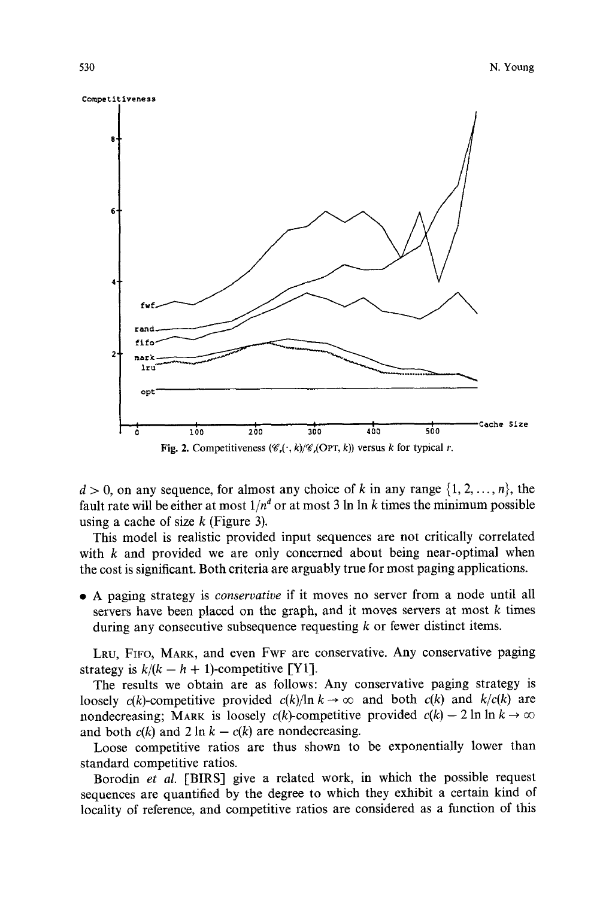

 $d > 0$ , on any sequence, for almost any choice of k in any range  $\{1, 2, ..., n\}$ , the fault rate will be either at most  $1/n<sup>d</sup>$  or at most 3 ln ln k times the minimum possible using a cache of size  $k$  (Figure 3).

This model is realistic provided input sequences are not critically correlated with k and provided we are only concerned about being near-optimal when the cost is significant. Both criteria are arguably true for most paging applications.

9 A paging strategy is *conservative* if it moves no server from a node until all servers have been placed on the graph, and it moves servers at most k times during any consecutive subsequence requesting  $k$  or fewer distinct items.

LRU, FIFO, MARK, and even FWF are conservative. Any conservative paging strategy is  $k/(k - h + 1)$ -competitive [Y1].

The results we obtain are as follows: Any conservative paging strategy is loosely  $c(k)$ -competitive provided  $c(k)/\ln k \rightarrow \infty$  and both  $c(k)$  and  $k/c(k)$  are nondecreasing; MARK is loosely  $c(k)$ -competitive provided  $c(k) - 2 \ln \ln k \rightarrow \infty$ and both  $c(k)$  and  $2 \ln k - c(k)$  are nondecreasing.

Loose competitive ratios are thus shown to be exponentially lower than standard competitive ratios.

Borodin *et al.* [BIRS] give a related work, in which the possible request sequences are quantified by the degree to which they exhibit a certain kind of locality of reference, and competitive ratios are considered as a function of this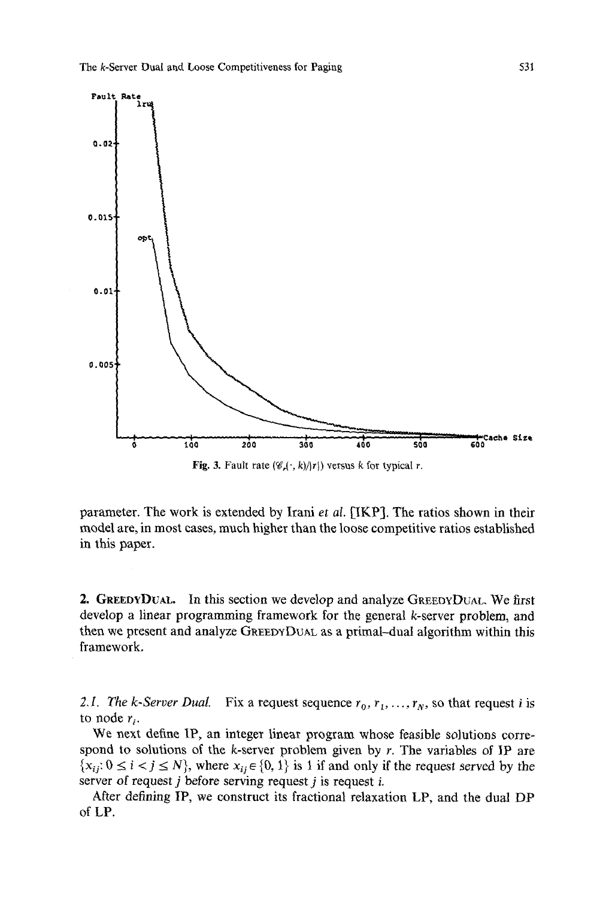

Fig. 3. Fault rate  $(\mathscr{C}_r(\cdot, k)/|r|)$  versus k for typical r.

parameter. The work is extended by Irani *et al.* [IKP]. The ratios shown in their model are, in most cases, much higher than the loose competitive ratios established in this paper.

2. GREEDYDUAL. In this section we develop and analyze GREEDYDUAL We first develop a linear programming framework for the general k-server problem, and then we present and analyze GREEDYDUAL as a primal-dual algorithm within this framework,

2.1. The k-Server Dual. Fix a request sequence  $r_0, r_1, \ldots, r_N$ , so that request i is to node  $r_i$ .

We next define IP, an integer linear program whose feasible solutions correspond to solutions of the k-server problem given by  $r$ . The variables of IP are  $\{x_{ij}: 0 \le i < j \le N\}$ , where  $x_{ij} \in \{0, 1\}$  is 1 if and only if the request served by the server of request  $j$  before serving request  $j$  is request  $i$ .

After defining IP, we construct its fractional relaxation LP, and the dual DP of LP.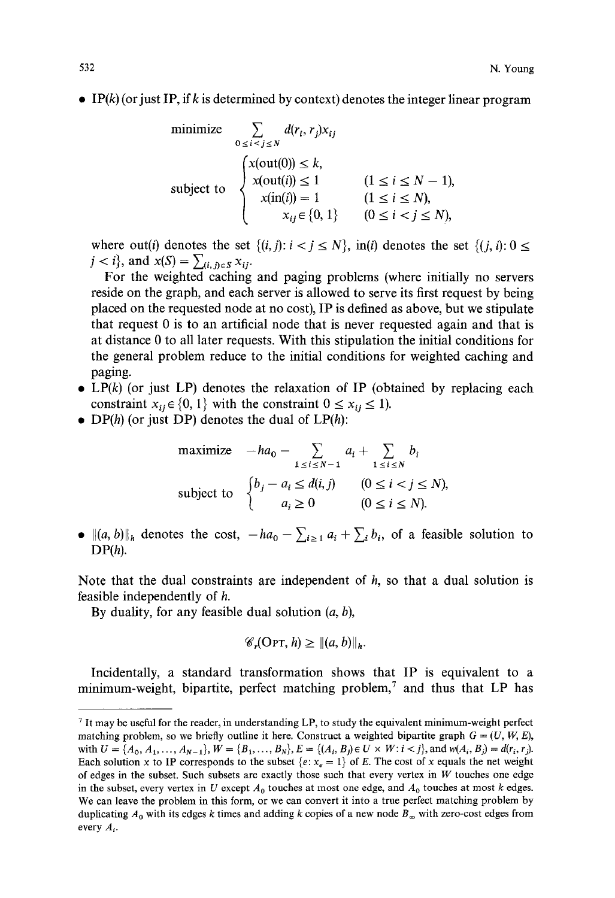$\bullet$  IP(k) (or just IP, if k is determined by context) denotes the integer linear program

minimize 
$$
\sum_{0 \le i < j \le N} d(r_i, r_j) x_{ij}
$$
  
\n
$$
\sum_{0 \le i < j \le N} d(r_i, r_j) x_{ij}
$$
  
\n
$$
x(\text{out}(0)) \le k,
$$
  
\n
$$
x(\text{out}(i)) \le 1 \qquad (1 \le i \le N - 1),
$$
  
\n
$$
x(\text{in}(i)) = 1 \qquad (1 \le i \le N),
$$
  
\n
$$
x_{ij} \in \{0, 1\} \qquad (0 \le i < j \le N),
$$

where out(i) denotes the set  $\{(i,j): i < j \le N\}$ ,  $\text{in}(i)$  denotes the set  $\{(i,i): 0 \le k\}$  $j < i$ , and  $x(S) = \sum_{(i,j) \in S} x_{ij}$ .

For the weighted caching and paging problems (where initially no servers reside on the graph, and each server is allowed to serve its first request by being placed on the requested node at no cost), IP is defined as above, but we stipulate that request 0 is to an artificial node that is never requested again and that is at distance 0 to all later requests. With this stipulation the initial conditions for the general problem reduce to the initial conditions for weighted caching and paging.

- LP $(k)$  (or just LP) denotes the relaxation of IP (obtained by replacing each constraint  $x_{ii} \in \{0, 1\}$  with the constraint  $0 \le x_{ii} \le 1$ ).
- DP $(h)$  (or just DP) denotes the dual of  $LP(h)$ :

maximize 
$$
-ha_0 - \sum_{1 \le i \le N-1} a_i + \sum_{1 \le i \le N} b_i
$$
  
\nsubject to 
$$
\begin{cases} b_j - a_i \le d(i,j) & (0 \le i < j \le N), \\ a_i \ge 0 & (0 \le i \le N). \end{cases}
$$

 $\|\{(a, b)\|_h$  denotes the cost,  $-ha_0 - \sum_{i \geq 1} a_i + \sum_i b_i$ , of a feasible solution to  $DP(h)$ .

Note that the dual constraints are independent of  $h$ , so that a dual solution is feasible independently of h.

By duality, for any feasible dual solution  $(a, b)$ ,

$$
\mathscr{C}_r(\text{OPT}, h) \geq ||(a, b)||_h.
$$

Incidentally, a standard transformation shows that IP is equivalent to a minimum-weight, bipartite, perfect matching problem,<sup>7</sup> and thus that LP has

 $7$  It may be useful for the reader, in understanding LP, to study the equivalent minimum-weight perfect matching problem, so we briefly outline it here. Construct a weighted bipartite graph  $G = (U, W, E)$ , with  $U = \{A_0, A_1, \ldots, A_{N-1}\}, W = \{B_1, \ldots, B_N\}, E = \{(A_i, B_j) \in U \times W: i < j\}, \text{and } w(A_i, B_j) = d(r_i, r_j).$ Each solution x to IP corresponds to the subset  $\{e: x_e = 1\}$  of E. The cost of x equals the net weight of edges in the subset. Such subsets are exactly those such that every vertex in  $W$  touches one edge in the subset, every vertex in U except  $A_0$  touches at most one edge, and  $A_0$  touches at most k edges. We can leave the problem in this form, or we can convert it into a true perfect matching problem by duplicating  $A_0$  with its edges k times and adding k copies of a new node  $B_{\infty}$  with zero-cost edges from every  $A_i$ .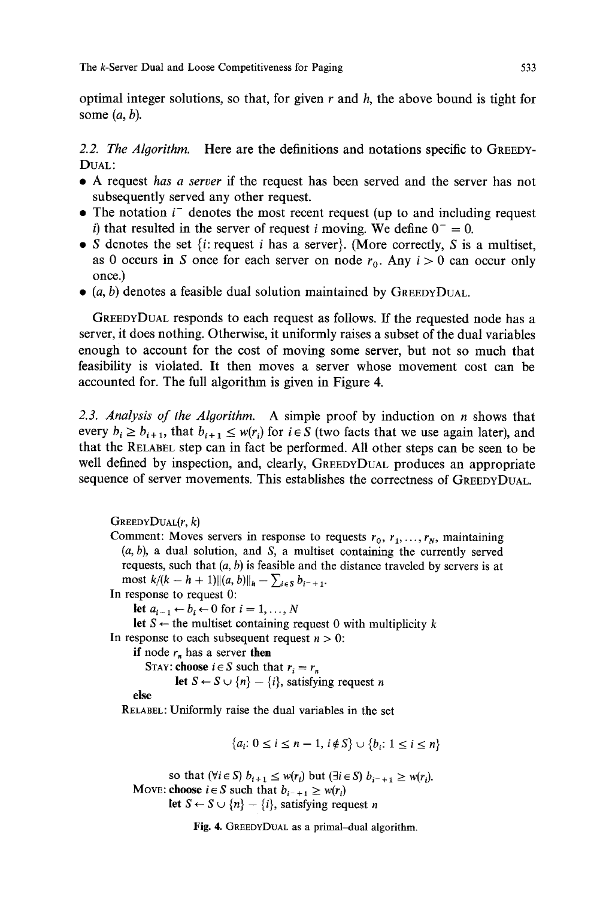optimal integer solutions, so that, for given r and  $h$ , the above bound is tight for some  $(a, b)$ .

*2.2. The Algorithm.* Here are the definitions and notations specific to GREEDY-DUAL:

- 9 A request *has a server* if the request has been served and the server has not subsequently served any other request.
- The notation  $i^-$  denotes the most recent request (up to and including request i) that resulted in the server of request i moving. We define  $0^- = 0$ .
- S denotes the set  $\{i: \text{request } i \text{ has a server}\}\$ . (More correctly, S is a multiset, as 0 occurs in S once for each server on node  $r_0$ . Any  $i > 0$  can occur only once.)
- $\bullet$  (a, b) denotes a feasible dual solution maintained by GREEDYDUAL.

GREEDYDUAL responds to each request as follows. If the requested node has a server, it does nothing. Otherwise, it uniformly raises a subset of the dual variables enough to account for the cost of moving some server, but not so much that feasibility is violated. It then moves a server whose movement cost can be accounted for. The full algorithm is given in Figure 4.

*2.3. Analysis of the Algorithm.* A simple proof by induction on n shows that every  $b_i \ge b_{i+1}$ , that  $b_{i+1} \le w(r_i)$  for  $i \in S$  (two facts that we use again later), and that the RELABEL step can in fact be performed. All other steps can be seen to be well defined by inspection, and, clearly, GREEDYDUAL produces an appropriate sequence of server movements. This establishes the correctness of GREEDVDUAL.

 $G$ REEDY $D$ UAL $(r, k)$ Comment: Moves servers in response to requests  $r_0, r_1, \ldots, r_N$ , maintaining  $(a, b)$ , a dual solution, and S, a multiset containing the currently served requests, such that  $(a, b)$  is feasible and the distance traveled by servers is at most  $k/(k - h + 1) ||(a, b)||_h - \sum_{i \in S} b_{i^-+1}$ . In response to request 0: let  $a_{i-1} \leftarrow b_i \leftarrow 0$  for  $i = 1, ..., N$ let  $S \leftarrow$  the multiset containing request 0 with multiplicity k In response to each subsequent request  $n > 0$ : if node  $r_n$  has a server then STAY: **choose**  $i \in S$  such that  $r_i = r_n$ let  $S \leftarrow S \cup \{n\} - \{i\}$ , satisfying request n else **RELABEL:** Uniformly raise the dual variables in the set  ${a_i: 0 \le i \le n-1, i \notin S} \cup {b_i: 1 \le i \le n}$ so that  $(\forall i \in S)$   $b_{i+1} \leq w(r_i)$  but  $(\exists i \in S)$   $b_{i^-+1} \geq w(r_i)$ . Move: **choose**  $i \in S$  such that  $b_{i^-+1} \geq w(r_i)$ let  $S \leftarrow S \cup \{n\} - \{i\}$ , satisfying request n

Fig. 4. GREEDYDUAL as a primal-dual algorithm.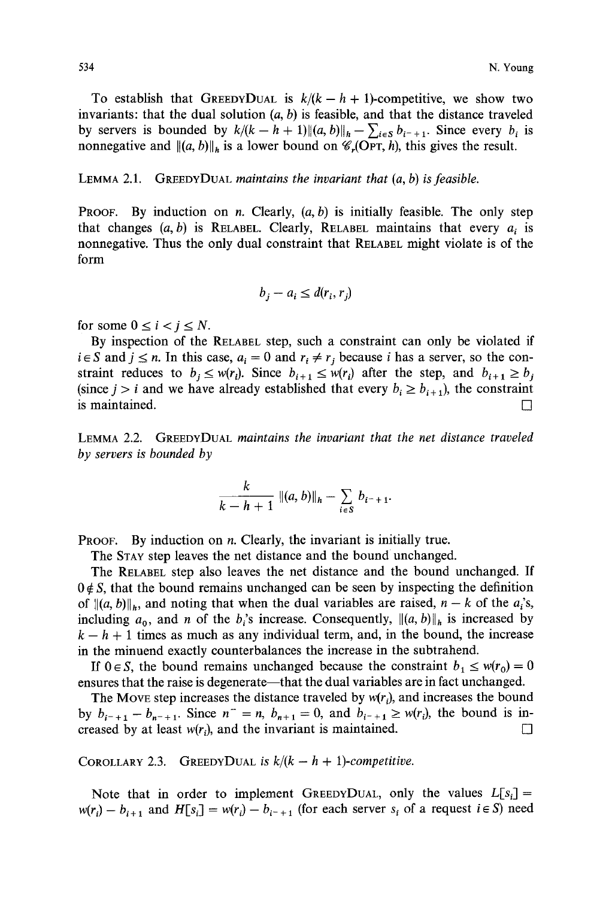To establish that GREEDYDUAL is  $k/(k - h + 1)$ -competitive, we show two invariants: that the dual solution  $(a, b)$  is feasible, and that the distance traveled by servers is bounded by  $k/(k - h + 1) ||(a, b)||_h - \sum_{i \in S} b_{i^-+1}$ . Since every  $b_i$  is nonnegative and  $\|(a, b)\|_{h}$  is a lower bound on  $\mathscr{C}_{r}(\text{OPT}, h)$ , this gives the result.

LEMMA 2.1. GREEDYDUAL *maintains the invariant that (a, b) is feasible.* 

**PROOF.** By induction on *n*. Clearly,  $(a, b)$  is initially feasible. The only step that changes  $(a, b)$  is RELABEL. Clearly, RELABEL maintains that every  $a_i$  is nonnegative. Thus the only dual constraint that RELABEL might violate is of the form

$$
b_j - a_i \le d(r_i, r_j)
$$

for some  $0 \le i \le i \le N$ .

By inspection of the RELABEL step, such a constraint can only be violated if  $i \in S$  and  $j \leq n$ . In this case,  $a_i = 0$  and  $r_i \neq r_j$  because i has a server, so the constraint reduces to  $b_i \leq w(r_i)$ . Since  $b_{i+1} \leq w(r_i)$  after the step, and  $b_{i+1} \geq b_i$ (since  $j > i$  and we have already established that every  $b_i \ge b_{i+1}$ ), the constraint is maintained.  $\Box$ 

LEMMA 2.2. GREEDYDUAL *maintains the invariant that the net distance traveled by servers is bounded by* 

$$
\frac{k}{k-h+1} ||(a, b)||_h - \sum_{i \in S} b_{i^-+1}.
$$

**PROOF.** By induction on  $n$ . Clearly, the invariant is initially true.

The STAY step leaves the net distance and the bound unchanged.

The RELABEL step also leaves the net distance and the bound unchanged. If  $0 \notin S$ , that the bound remains unchanged can be seen by inspecting the definition of  $\|(a, b)\|_{h}$ , and noting that when the dual variables are raised,  $n - k$  of the  $a_i$ 's, including  $a_0$ , and *n* of the  $b_i$ 's increase. Consequently,  $\|(a, b)\|_{h}$  is increased by  $k - h + 1$  times as much as any individual term, and, in the bound, the increase in the minuend exactly counterbalances the increase in the subtrahend.

If  $0 \in S$ , the bound remains unchanged because the constraint  $b_1 \leq w(r_0) = 0$ ensures that the raise is degenerate—that the dual variables are in fact unchanged.

The Move step increases the distance traveled by  $w(r_i)$ , and increases the bound by  $b_{i^-+1} - b_{n^-+1}$ . Since  $n^- = n$ ,  $b_{n+1} = 0$ , and  $b_{i^-+1} \geq w(r_i)$ , the bound is increased by at least  $w(r_i)$ , and the invariant is maintained.

COROLLARY 2.3. GREEDYDUAL is  $k/(k - h + 1)$ -competitive.

Note that in order to implement GREEDYDUAL, only the values  $L[s_i] =$  $w(r_i) - b_{i+1}$  and  $H[s_i] = w(r_i) - b_{i-1}$  (for each server  $s_i$  of a request  $i \in S$ ) need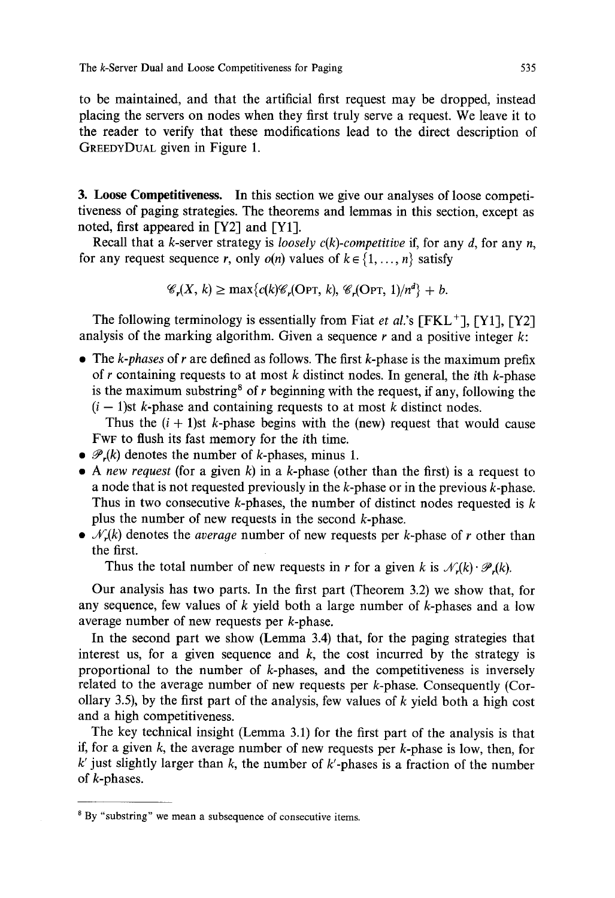to be maintained, and that the artificial first request may be dropped, instead placing the servers on nodes when they first truly serve a request. We leave it to the reader to verify that these modifications lead to the direct description of GREEDYDUAL given in Figure 1.

3. Loose Competitiveness. In this section we give our analyses of loose competitiveness of paging strategies. The theorems and lemmas in this section, except as noted, first appeared in [Y2] and [Y1].

Recall that a k-server strategy is *loosely c(k)-competitive* if, for any d, for any *n,*  for any request sequence r, only  $o(n)$  values of  $k \in \{1, ..., n\}$  satisfy

$$
\mathscr{C}_r(X,k) \ge \max\{c(k)\mathscr{C}_r(\text{OPT},k), \mathscr{C}_r(\text{OPT},1)/n^d\} + b.
$$

The following terminology is essentially from Fiat *et al.'s* [FKL+], [Y1], [Y2] analysis of the marking algorithm. Given a sequence  $r$  and a positive integer  $k$ :

9 The *k-phases* of r are defined as follows. The first k-phase is the maximum prefix of r containing requests to at most k distinct nodes. In general, the *i*th k-phase is the maximum substring<sup>8</sup> of r beginning with the request, if any, following the  $(i - 1)$ st k-phase and containing requests to at most k distinct nodes.

Thus the  $(i + 1)$ st k-phase begins with the (new) request that would cause FWF to flush its fast memory for the ith time.

- $\bullet \mathcal{P}_{r}(k)$  denotes the number of k-phases, minus 1.
- *9 A new request* (for a given k) in a k-phase (other than the first) is a request to a node that is not requested previously in the  $k$ -phase or in the previous  $k$ -phase. Thus in two consecutive k-phases, the number of distinct nodes requested is  $k$ plus the number of new requests in the second k-phase.
- $\bullet$   $\mathcal{N}(k)$  denotes the *average* number of new requests per k-phase of r other than the first.

Thus the total number of new requests in r for a given k is  $\mathcal{N}_r(k) \cdot \mathcal{P}_r(k)$ .

Our analysis has two parts. In the first part (Theorem 3.2) we show that, for any sequence, few values of  $k$  yield both a large number of  $k$ -phases and a low average number of new requests per k-phase.

In the second part we show (Lemma 3.4) that, for the paging strategies that interest us, for a given sequence and  $k$ , the cost incurred by the strategy is proportional to the number of  $k$ -phases, and the competitiveness is inversely related to the average number of new requests per k-phase. Consequently (Corollary 3.5), by the first part of the analysis, few values of  $k$  yield both a high cost and a high competitiveness.

The key technical insight (Lemma 3.1) for the first part of the analysis is that if, for a given  $k$ , the average number of new requests per  $k$ -phase is low, then, for  $k'$  just slightly larger than k, the number of  $k'$ -phases is a fraction of the number of k-phases.

<sup>&</sup>lt;sup>8</sup> By "substring" we mean a subsequence of consecutive items.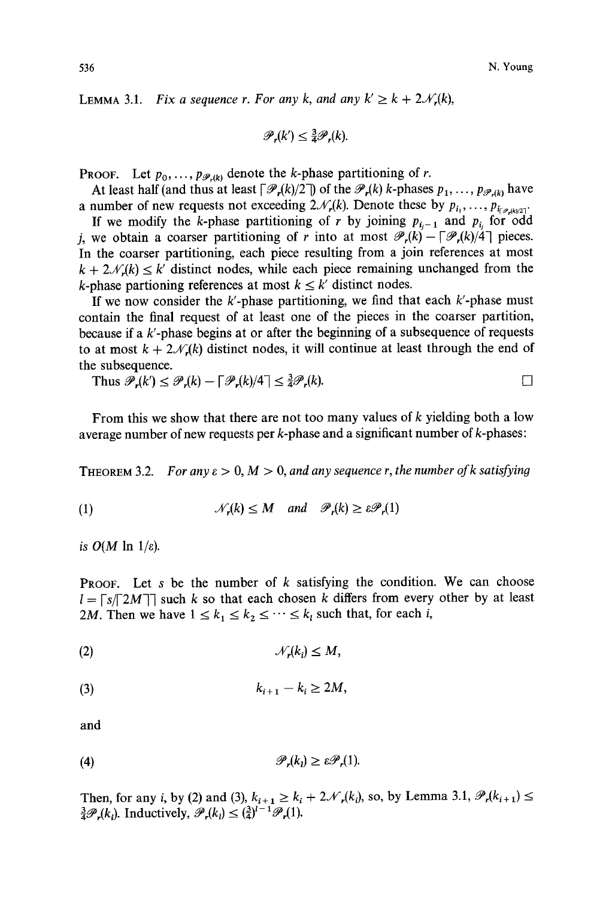LEMMA 3.1. *Fix a sequence r. For any k, and any*  $k' \ge k + 2\mathcal{N}_r(k)$ *,* 

$$
\mathscr{P}_r(k') \leq \tfrac{3}{4}\mathscr{P}_r(k).
$$

**PROOF.** Let  $p_0, \ldots, p_{\mathscr{P},(k)}$  denote the k-phase partitioning of r.

At least half (and thus at least  $\lceil \mathcal{P}_r(k)/2 \rceil$ ) of the  $\mathcal{P}_r(k)$  k-phases  $p_1, \ldots, p_{\mathcal{P}_r(k)}$  have a number of new requests not exceeding  $2\mathcal{N}_r(k)$ . Denote these by  $p_{i_1}, \ldots, p_{i_{\lceil \mathcal{P}_r(k)/2\rceil}}$ .

If we modify the k-phase partitioning of r by joining  $p_{i-1}$  and  $p_{i}$  for odd j, we obtain a coarser partitioning of r into at most  $\mathcal{P}_r(k) - \lceil \mathcal{P}_r(k)/4 \rceil$  pieces. In the coarser partitioning, each piece resulting from a join references at most  $k + 2\mathcal{N}_r(k) \leq k'$  distinct nodes, while each piece remaining unchanged from the k-phase partioning references at most  $k \leq k'$  distinct nodes.

If we now consider the  $k'$ -phase partitioning, we find that each  $k'$ -phase must contain the final request of at least one of the pieces in the coarser partition, because if a  $k$ -phase begins at or after the beginning of a subsequence of requests to at most  $k + 2\mathcal{N}_r(k)$  distinct nodes, it will continue at least through the end of the subsequence.

Thus  $\mathscr{P}_r(k) \leq \mathscr{P}_r(k) - \lceil \mathscr{P}_r(k)/4 \rceil \leq \frac{3}{4} \mathscr{P}_r(k).$ 

From this we show that there are not too many values of  $k$  yielding both a low average number of new requests per k-phase and a significant number of k-phases:

THEOREM 3.2. *For any*  $\varepsilon > 0$ ,  $M > 0$ , and any sequence r, the number of k satisfying

(1) 
$$
\mathcal{N}_r(k) \leq M
$$
 and  $\mathcal{P}_r(k) \geq \varepsilon \mathcal{P}_r(1)$ 

*is*  $O(M \ln 1/\varepsilon)$ *.* 

**PROOF.** Let s be the number of k satisfying the condition. We can choose  $l = \lceil s / \lceil 2M \rceil$  such k so that each chosen k differs from every other by at least 2M. Then we have  $1 \le k_1 \le k_2 \le \cdots \le k_l$  such that, for each i,

(2) JV,(ki) < M,

$$
(3) \t\t k_{i+1}-k_i\geq 2M,
$$

and

$$
\mathscr{P}_r(k_i) \geq \varepsilon \mathscr{P}_r(1).
$$

Then, for any i, by (2) and (3),  $k_{i+1} \ge k_i + 2\mathcal{N}_r(k_i)$ , so, by Lemma 3.1,  $\mathcal{P}_r(k_{i+1}) \le$  $\frac{3}{4}\mathscr{P}_r(k_i)$ . Inductively,  $\mathscr{P}_r(k_i) \leq (\frac{3}{4})^{l-1}$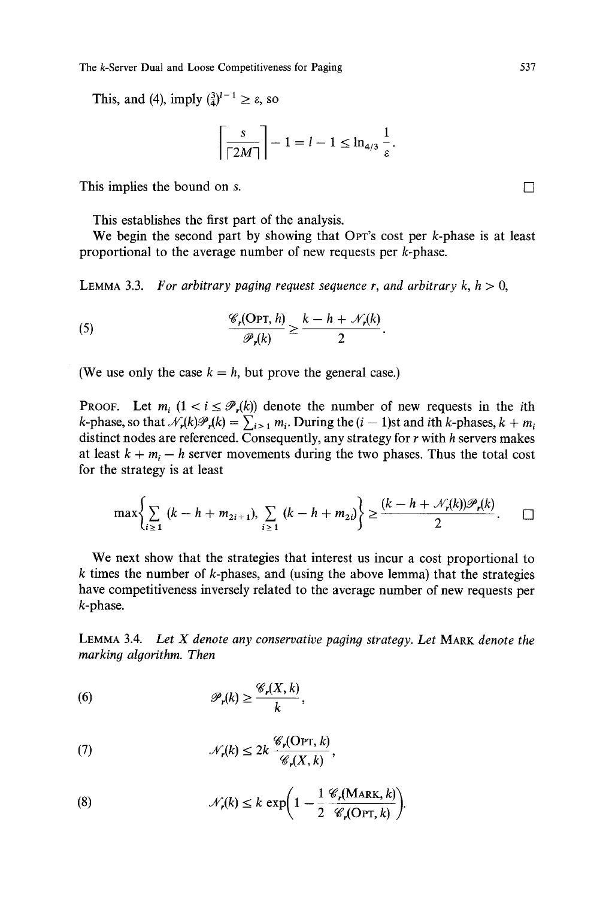The k-Server Dual and Loose Competitiveness for Paging 537

This, and (4), imply  $(\frac{3}{4})^{l-1} \ge \varepsilon$ , so

$$
\left\lceil \frac{s}{\lceil 2M \rceil} \right\rceil - 1 = l - 1 \le \ln_{4/3} \frac{1}{\varepsilon}.
$$

This implies the bound on s.  $\Box$ 

This establishes the first part of the analysis.

We begin the second part by showing that OPT's cost per  $k$ -phase is at least proportional to the average number of new requests per k-phase.

LEMMA 3.3. *For arbitrary paging request sequence r, and arbitrary k,*  $h > 0$ *,* 

(5) 
$$
\frac{\mathscr{C}_r(\text{Opt}, h)}{\mathscr{P}_r(k)} \geq \frac{k - h + \mathscr{N}_r(k)}{2}.
$$

(We use only the case  $k = h$ , but prove the general case.)

**PROOF.** Let  $m_i$   $(1 < i \leq P_r(k))$  denote the number of new requests in the *i*th k-phase, so that  $\mathcal{N}_r(k)\mathcal{P}_r(k) = \sum_{i>1} m_i$ . During the  $(i - 1)$ st and ith k-phases,  $k + m_i$ distinct nodes are referenced. Consequently, any strategy for r with h servers makes at least  $k + m_i - h$  server movements during the two phases. Thus the total cost for the strategy is at least

$$
\max \bigg\{ \sum_{i \geq 1} (k - h + m_{2i+1}), \sum_{i \geq 1} (k - h + m_{2i}) \bigg\} \geq \frac{(k - h + \mathcal{N}_r(k)) \mathcal{P}_r(k)}{2}.
$$

We next show that the strategies that interest us incur a cost proportional to  $k$  times the number of  $k$ -phases, and (using the above lemma) that the strategies have competitiveness inversely related to the average number of new requests per k-phase.

LEMMA 3.4. *Let X denote any conservative paging strategy. Let* MARK *denote the marking algorithm. Then* 

(6) 
$$
\mathscr{P}_r(k) \geq \frac{\mathscr{C}_r(X,k)}{k},
$$

(7) 
$$
\mathcal{N}_r(k) \leq 2k \frac{\mathcal{C}_r(\text{Opt}, k)}{\mathcal{C}_r(X, k)},
$$

(8) 
$$
\mathcal{N}_r(k) \leq k \exp\bigg(1 - \frac{1}{2} \frac{\mathcal{C}_r(\text{MARK}, k)}{\mathcal{C}_r(\text{OPT}, k)}\bigg).
$$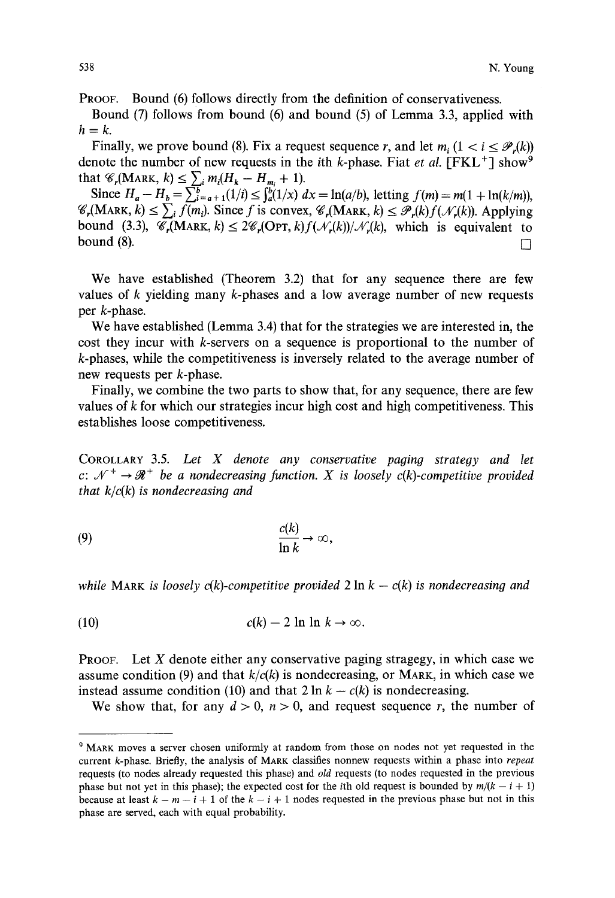PROOF. Bound (6) follows directly from the definition of conservativeness.

Bound (7) follows from bound (6) and bound (5) of Lemma 3.3, applied with  $h=k$ .

Finally, we prove bound (8). Fix a request sequence r, and let  $m_i$  ( $1 < i \leq \mathcal{P}_r(k)$ ) denote the number of new requests in the *i*th *k*-phase. Fiat *et al.*  $[FKL^+]$  show<sup>9</sup> that  $\mathscr{C}_r(MARK, k) \leq \sum_i m_i (H_k - H_{m_i} + 1).$ 

Since  $H_a - H_b = \sum_{i=a+1}^{n} (1/i) \leq \int_a^b (1/x) dx = \ln(a/b)$ , letting  $f(m) = m(1 + \ln(k/m))$ ,  $\mathscr{C}_r(MARK, k) \leq \sum_i f(m_i)$ . Since f is convex,  $\mathscr{C}_r(MARK, k) \leq \mathscr{P}_r(k)f(\mathscr{N}_r(k))$ . Applying bound (3.3),  $\mathscr{C}_r(MARK, k) \leq 2\mathscr{C}_r(OPT, k)f(\mathscr{N}_r(k))/\mathscr{N}_r(k)$ , which is equivalent to bound (8).  $\Box$ 

We have established (Theorem 3.2) that for any sequence there are few values of k yielding many k-phases and a low average number of new requests per k-phase.

We have established (Lemma 3.4) that for the strategies we are interested in, the cost they incur with k-servers on a sequence is proportional to the number of k-phases, while the competitiveness is inversely related to the average number of new requests per k-phase.

Finally, we combine the two parts to show that, for any sequence, there are few values of  $k$  for which our strategies incur high cost and high competitiveness. This establishes loose competitiveness.

COROLLARY 3.5. Let X denote any conservative paging strategy and let *c:*  $\mathcal{N}^+ \rightarrow \mathcal{R}^+$  be a nondecreasing function. X is loosely c(k)-competitive provided *that*  $k/c(k)$  *is nondecreasing and* 

$$
\frac{c(k)}{\ln k} \to \infty,
$$

*while* MARK *is loosely c(k)-competitive provided*  $2 \ln k - c(k)$  *is nondecreasing and* 

(10)  $c(k)-2 \ln \ln k \rightarrow \infty$ .

PROOF. Let X denote either any conservative paging stragegy, in which case we assume condition (9) and that  $k/c(k)$  is nondecreasing, or MARK, in which case we instead assume condition (10) and that  $2 \ln k - c(k)$  is nondecreasing.

We show that, for any  $d > 0$ ,  $n > 0$ , and request sequence r, the number of

<sup>9</sup> MARK moves a server chosen uniformly at random from those on nodes not yet requested in the current k-phase. Briefly, the analysis of MARK classifies nonnew requests within a phase into *repeat*  requests (to nodes already requested this phase) and *old* requests (to nodes requested in the previous phase but not yet in this phase); the expected cost for the *i*th old request is bounded by  $m/(k - i + 1)$ because at least  $k - m - i + 1$  of the  $k - i + 1$  nodes requested in the previous phase but not in this phase are served, each with equal probability.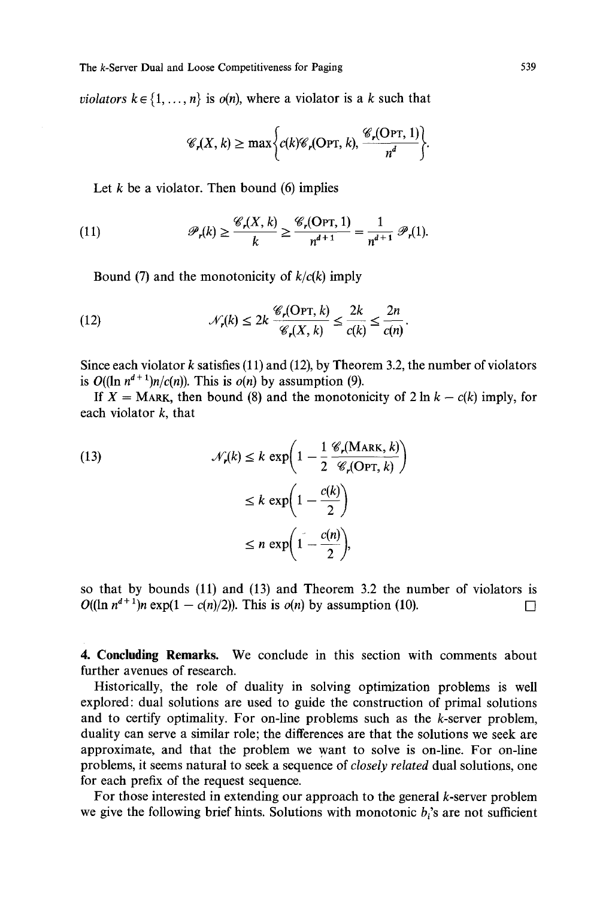*violators*  $k \in \{1, ..., n\}$  is  $o(n)$ , where a violator is a k such that

$$
\mathscr{C}_r(X,k) \geq \max \bigg\{ c(k) \mathscr{C}_r(\text{OPT}, k), \frac{\mathscr{C}_r(\text{OPT}, 1)}{n^d} \bigg\}.
$$

Let  $k$  be a violator. Then bound (6) implies

(11) 
$$
\mathscr{P}_r(k) \geq \frac{\mathscr{C}_r(X,k)}{k} \geq \frac{\mathscr{C}_r(\text{Opt},1)}{n^{d+1}} = \frac{1}{n^{d+1}} \mathscr{P}_r(1).
$$

Bound (7) and the monotonicity of *k/c(k)* imply

(12) 
$$
\mathcal{N}_r(k) \leq 2k \frac{\mathcal{C}_r(\text{Opt}, k)}{\mathcal{C}_r(X, k)} \leq \frac{2k}{c(k)} \leq \frac{2n}{c(n)}.
$$

Since each violator  $k$  satisfies (11) and (12), by Theorem 3.2, the number of violators is  $O((\ln n^{d+1})n/c(n))$ . This is  $o(n)$  by assumption (9).

If  $X = \text{Mark},$  then bound (8) and the monotonicity of 2 ln  $k - c(k)$  imply, for each violator  $k$ , that

(13)  
\n
$$
\mathcal{N}_r(k) \le k \exp\left(1 - \frac{1}{2} \frac{\mathcal{C}_r(\text{MARK}, k)}{\mathcal{C}_r(\text{OPT}, k)}\right)
$$
\n
$$
\le k \exp\left(1 - \frac{c(k)}{2}\right)
$$
\n
$$
\le n \exp\left(1 - \frac{c(n)}{2}\right),
$$

so that by bounds (11) and (13) and Theorem 3.2 the number of violators is  $O((\ln n^{d+1})n \exp(1 - c(n)/2))$ . This is  $o(n)$  by assumption (10).

4. **Concluding Remarks.** We conclude in this section with comments about further avenues of research.

Historically, the role of duality in solving optimization problems is well explored: dual solutions are used to guide the construction of primal solutions and to certify optimality. For on-line problems such as the k-server problem, duality can serve a similar role; the differences are that the solutions we seek are approximate, and that the problem we want to solve is on-line. For on-line problems, it seems natural to seek a sequence of *closely related* dual solutions, one for each prefix of the request sequence.

For those interested in extending our approach to the general k-server problem we give the following brief hints. Solutions with monotonic  $b_i$ 's are not sufficient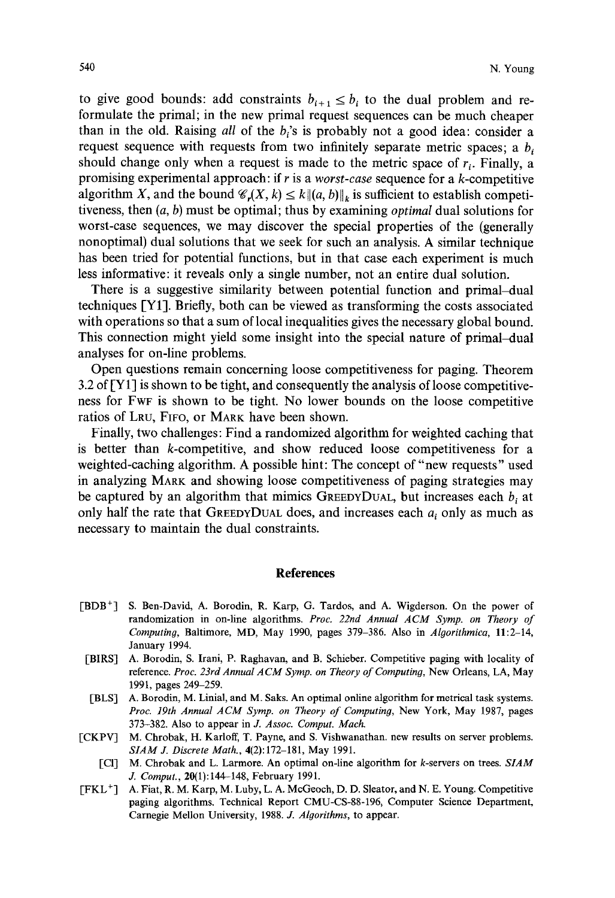to give good bounds: add constraints  $b_{i+1} \leq b_i$  to the dual problem and reformulate the primal; in the new primal request sequences can be much cheaper than in the old. Raising *all* of the b<sub>i</sub>'s is probably not a good idea: consider a request sequence with requests from two infinitely separate metric spaces; a  $b_i$ should change only when a request is made to the metric space of  $r_i$ . Finally, a promising experimental approach: if r is a *worst-case* sequence for a k-competitive algorithm X, and the bound  $\mathscr{C}_r(X, k) \leq k \| (a, b) \|_k$  is sufficient to establish competitiveness, then (a, b) must be optimal; thus by examining *optimal* dual solutions for worst-case sequences, we may discover the special properties of the (generally nonoptimal) dual solutions that we seek for such an analysis. A similar technique has been tried for potential functions, but in that case each experiment is much less informative: it reveals only a single number, not an entire dual solution.

There is a suggestive similarity between potential function and primal-dual techniques [Y1]. Briefly, both can be viewed as transforming the costs associated with operations so that a sum of local inequalities gives the necessary global bound. This connection might yield some insight into the special nature of primal-dual analyses for on-line problems.

Open questions remain concerning loose competitiveness for paging. Theorem 3.2 of [Y 1] is shown to be tight, and consequently the analysis of loose competitiveness for FwF is shown to be tight. No lower bounds on the loose competitive ratios of LRU, FIFo, or MARK have been shown.

Finally, two challenges: Find a randomized algorithm for weighted caching that is better than k-competitive, and show reduced loose competitiveness for a weighted-caching algorithm. A possible hint: The concept of "new requests" used in analyzing MARK and showing loose competitiveness of paging strategies may be captured by an algorithm that mimics GREEDYDUAL, but increases each  $b_i$  at only half the rate that GREEDYDUAL does, and increases each  $a_i$  only as much as necessary to maintain the dual constraints.

## **References**

- [BDB<sup>+</sup>] S. Ben-David, A. Borodin, R. Karp, G. Tardos, and A. Wigderson. On the power of randomization in on-line algorithms. *Proc. 22nd Annual ACM Symp. on Theory of Computing,* Baltimore, MD, May 1990, pages 379-386. Also in *Algorithrnica,* 11:2-14, January 1994.
- [BIRS] A. Borodin, S. Irani, P. Raghavan, and B. Schieber. Competitive paging with locality of reference. *Proc. 23rd Annual ACM Syrup. on Theory of Computing,* New Orleans, LA, May 1991, pages 249-259.
- [BLS] A. Borodin, M. Linial, and M. Saks. An optimal online algorithm for metrical task systems. *Proc. 19th Annual ACM Syrup. on Theory of Computing,* New York, May 1987, pages 373-382. Also to appear in J. *Assoc. Comput. Mach.*
- [CKPV] M. Chrobak, H. Karloff, T. Payne, and S. Vishwanathan. new results on server problems. *SlAM J. Discrete Math.,* 4(2):172-181, May 1991.
	- [c1] M. Chrobak and L. Larmore. An optimal on-line algorithm for k-servers on trees. *SlAM J. Comput.,* 20(1): 144-148, February 1991.
- [FKL +] A. Fiat, R. M. Karp, M. Luby, L. A. McGeoch, D. D. Sleator, and N. E. Young. Competitive paging algorithms. Technical Report CMU-CS-88-196, Computer Science Department, Carnegie Mellon University, 1988. J. *Algorithms,* to appear.